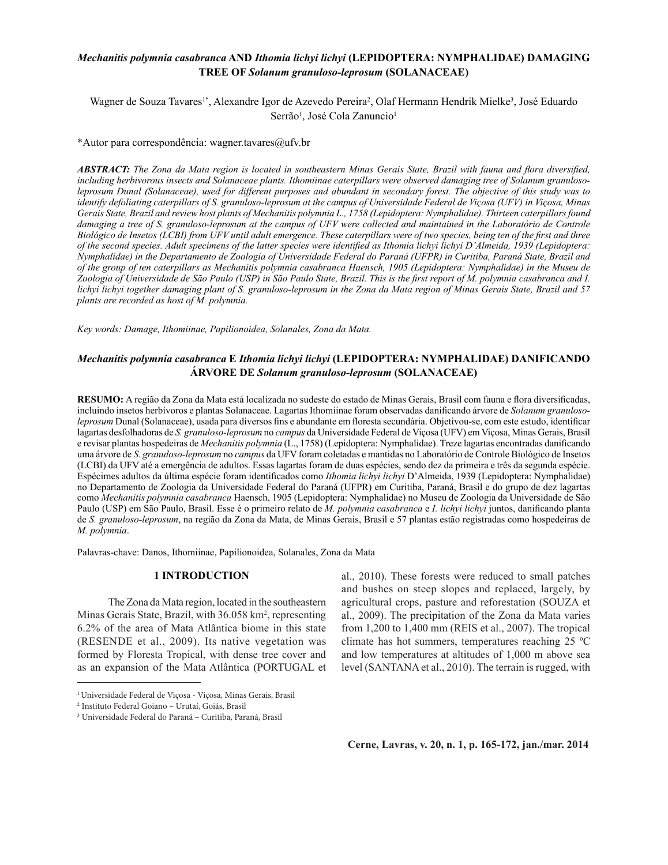# *Mechanitis polymnia casabranca* **AND** *Ithomia lichyi lichyi* **(LEPIDOPTERA: NYMPHALIDAE) DAMAGING TREE OF** *Solanum granuloso-leprosum* **(SOLANACEAE)**

Wagner de Souza Tavares<sup>1\*</sup>, Alexandre Igor de Azevedo Pereira<sup>2</sup>, Olaf Hermann Hendrik Mielke<sup>3</sup>, José Eduardo Serrão<sup>1</sup>, José Cola Zanuncio<sup>1</sup>

\*Autor para correspondência: wagner.tavares@ufv.br

*ABSTRACT: The Zona da Mata region is located in southeastern Minas Gerais State, Brazil with fauna and flora diversified, including herbivorous insects and Solanaceae plants. Ithomiinae caterpillars were observed damaging tree of Solanum granulosoleprosum Dunal (Solanaceae), used for different purposes and abundant in secondary forest. The objective of this study was to identify defoliating caterpillars of S. granuloso-leprosum at the campus of Universidade Federal de Viçosa (UFV) in Viçosa, Minas Gerais State, Brazil and review host plants of Mechanitis polymnia L., 1758 (Lepidoptera: Nymphalidae). Thirteen caterpillars found*  damaging a tree of S. granuloso-leprosum at the campus of UFV were collected and maintained in the Laboratório de Controle *Biológico de Insetos (LCBI) from UFV until adult emergence. These caterpillars were of two species, being ten of the first and three of the second species. Adult specimens of the latter species were identified as Ithomia lichyi lichyi D'Almeida, 1939 (Lepidoptera: Nymphalidae) in the Departamento de Zoologia of Universidade Federal do Paraná (UFPR) in Curitiba, Paraná State, Brazil and of the group of ten caterpillars as Mechanitis polymnia casabranca Haensch, 1905 (Lepidoptera: Nymphalidae) in the Museu de Zoologia of Universidade de São Paulo (USP) in São Paulo State, Brazil. This is the first report of M. polymnia casabranca and I. lichyi lichyi together damaging plant of S. granuloso-leprosum in the Zona da Mata region of Minas Gerais State, Brazil and 57 plants are recorded as host of M. polymnia.*

*Key words: Damage, Ithomiinae, Papilionoidea, Solanales, Zona da Mata.*

# *Mechanitis polymnia casabranca* **E** *Ithomia lichyi lichyi* **(LEPIDOPTERA: NYMPHALIDAE) DANIFICANDO ÁRVORE DE** *Solanum granuloso-leprosum* **(SOLANACEAE)**

**RESUMO:** A região da Zona da Mata está localizada no sudeste do estado de Minas Gerais, Brasil com fauna e flora diversificadas, incluindo insetos herbívoros e plantas Solanaceae. Lagartas Ithomiinae foram observadas danificando árvore de *Solanum granulosoleprosum* Dunal (Solanaceae), usada para diversos fins e abundante em floresta secundária. Objetivou-se, com este estudo, identificar lagartas desfolhadoras de *S. granuloso-leprosum* no *campus* da Universidade Federal de Viçosa (UFV) em Viçosa, Minas Gerais, Brasil e revisar plantas hospedeiras de *Mechanitis polymnia* (L., 1758) (Lepidoptera: Nymphalidae). Treze lagartas encontradas danificando uma árvore de *S. granuloso-leprosum* no *campus* da UFV foram coletadas e mantidas no Laboratório de Controle Biológico de Insetos (LCBI) da UFV até a emergência de adultos. Essas lagartas foram de duas espécies, sendo dez da primeira e três da segunda espécie. Espécimes adultos da última espécie foram identificados como *Ithomia lichyi lichyi* D'Almeida, 1939 (Lepidoptera: Nymphalidae) no Departamento de Zoologia da Universidade Federal do Paraná (UFPR) em Curitiba, Paraná, Brasil e do grupo de dez lagartas como *Mechanitis polymnia casabranca* Haensch, 1905 (Lepidoptera: Nymphalidae) no Museu de Zoologia da Universidade de São Paulo (USP) em São Paulo, Brasil. Esse é o primeiro relato de *M. polymnia casabranca* e *I. lichyi lichyi* juntos, danificando planta de *S. granuloso-leprosum*, na região da Zona da Mata, de Minas Gerais, Brasil e 57 plantas estão registradas como hospedeiras de *M. polymnia*.

Palavras-chave: Danos, Ithomiinae, Papilionoidea, Solanales, Zona da Mata

## **1 INTRODUCTION**

The Zona da Mata region, located in the southeastern Minas Gerais State, Brazil, with 36.058 km<sup>2</sup>, representing 6.2% of the area of Mata Atlântica biome in this state (RESENDE et al., 2009). Its native vegetation was formed by Floresta Tropical, with dense tree cover and as an expansion of the Mata Atlântica (PORTUGAL et al., 2010). These forests were reduced to small patches and bushes on steep slopes and replaced, largely, by agricultural crops, pasture and reforestation (SOUZA et al., 2009). The precipitation of the Zona da Mata varies from 1,200 to 1,400 mm (REIS et al., 2007). The tropical climate has hot summers, temperatures reaching 25 ºC and low temperatures at altitudes of 1,000 m above sea level (SANTANA et al., 2010). The terrain is rugged, with

<sup>1</sup> Universidade Federal de Viçosa - Viçosa, Minas Gerais, Brasil

<sup>2</sup> Instituto Federal Goiano – Urutaí, Goiás, Brasil

<sup>3</sup> Universidade Federal do Paraná – Curitiba, Paraná, Brasil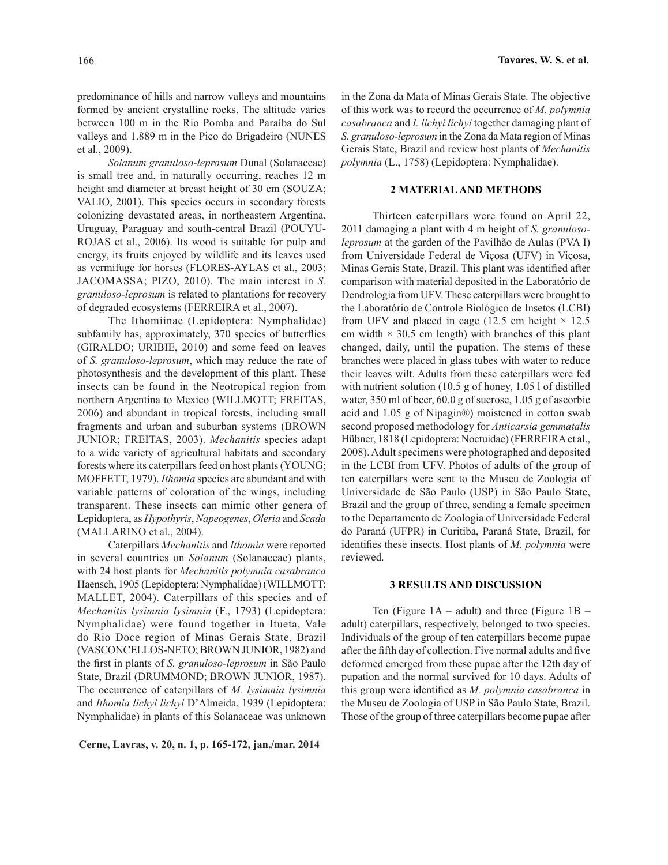predominance of hills and narrow valleys and mountains formed by ancient crystalline rocks. The altitude varies between 100 m in the Rio Pomba and Paraíba do Sul valleys and 1.889 m in the Pico do Brigadeiro (NUNES et al., 2009).

*Solanum granuloso-leprosum* Dunal (Solanaceae) is small tree and, in naturally occurring, reaches 12 m height and diameter at breast height of 30 cm (SOUZA; VALIO, 2001). This species occurs in secondary forests colonizing devastated areas, in northeastern Argentina, Uruguay, Paraguay and south-central Brazil (POUYU-ROJAS et al., 2006). Its wood is suitable for pulp and energy, its fruits enjoyed by wildlife and its leaves used as vermifuge for horses (FLORES-AYLAS et al., 2003; JACOMASSA; PIZO, 2010). The main interest in *S. granuloso-leprosum* is related to plantations for recovery of degraded ecosystems (FERREIRA et al., 2007).

The Ithomiinae (Lepidoptera: Nymphalidae) subfamily has, approximately, 370 species of butterflies (GIRALDO; URIBIE, 2010) and some feed on leaves of *S. granuloso-leprosum*, which may reduce the rate of photosynthesis and the development of this plant. These insects can be found in the Neotropical region from northern Argentina to Mexico (WILLMOTT; FREITAS, 2006) and abundant in tropical forests, including small fragments and urban and suburban systems (BROWN JUNIOR; FREITAS, 2003). *Mechanitis* species adapt to a wide variety of agricultural habitats and secondary forests where its caterpillars feed on host plants (YOUNG; MOFFETT, 1979). *Ithomia* species are abundant and with variable patterns of coloration of the wings, including transparent. These insects can mimic other genera of Lepidoptera, as *Hypothyris*, *Napeogenes*, *Oleria* and *Scada* (MALLARINO et al., 2004).

Caterpillars *Mechanitis* and *Ithomia* were reported in several countries on *Solanum* (Solanaceae) plants, with 24 host plants for *Mechanitis polymnia casabranca* Haensch, 1905 (Lepidoptera: Nymphalidae) (WILLMOTT; MALLET, 2004). Caterpillars of this species and of *Mechanitis lysimnia lysimnia* (F., 1793) (Lepidoptera: Nymphalidae) were found together in Itueta, Vale do Rio Doce region of Minas Gerais State, Brazil (VASCONCELLOS-NETO; BROWN JUNIOR, 1982) and the first in plants of *S. granuloso-leprosum* in São Paulo State, Brazil (DRUMMOND; BROWN JUNIOR, 1987). The occurrence of caterpillars of *M. lysimnia lysimnia*  and *Ithomia lichyi lichyi* D'Almeida, 1939 (Lepidoptera: Nymphalidae) in plants of this Solanaceae was unknown

**Cerne, Lavras, v. 20, n. 1, p. 165-172, jan./mar. 2014**

in the Zona da Mata of Minas Gerais State. The objective of this work was to record the occurrence of *M. polymnia casabranca* and *I. lichyi lichyi* together damaging plant of *S. granuloso-leprosum* in the Zona da Mata region of Minas Gerais State, Brazil and review host plants of *Mechanitis polymnia* (L., 1758) (Lepidoptera: Nymphalidae).

### **2 MATERIAL AND METHODS**

Thirteen caterpillars were found on April 22, 2011 damaging a plant with 4 m height of *S. granulosoleprosum* at the garden of the Pavilhão de Aulas (PVA I) from Universidade Federal de Viçosa (UFV) in Viçosa, Minas Gerais State, Brazil. This plant was identified after comparison with material deposited in the Laboratório de Dendrologia from UFV. These caterpillars were brought to the Laboratório de Controle Biológico de Insetos (LCBI) from UFV and placed in cage (12.5 cm height  $\times$  12.5 cm width  $\times$  30.5 cm length) with branches of this plant changed, daily, until the pupation. The stems of these branches were placed in glass tubes with water to reduce their leaves wilt. Adults from these caterpillars were fed with nutrient solution (10.5 g of honey, 1.05 l of distilled water, 350 ml of beer, 60.0 g of sucrose, 1.05 g of ascorbic acid and 1.05 g of Nipagin®) moistened in cotton swab second proposed methodology for *Anticarsia gemmatalis* Hübner, 1818 (Lepidoptera: Noctuidae) (FERREIRA et al., 2008). Adult specimens were photographed and deposited in the LCBI from UFV. Photos of adults of the group of ten caterpillars were sent to the Museu de Zoologia of Universidade de São Paulo (USP) in São Paulo State, Brazil and the group of three, sending a female specimen to the Departamento de Zoologia of Universidade Federal do Paraná (UFPR) in Curitiba, Paraná State, Brazil, for identifies these insects. Host plants of *M. polymnia* were reviewed.

#### **3 RESULTS AND DISCUSSION**

Ten (Figure 1A – adult) and three (Figure 1B – adult) caterpillars, respectively, belonged to two species. Individuals of the group of ten caterpillars become pupae after the fifth day of collection. Five normal adults and five deformed emerged from these pupae after the 12th day of pupation and the normal survived for 10 days. Adults of this group were identified as *M. polymnia casabranca* in the Museu de Zoologia of USP in São Paulo State, Brazil. Those of the group of three caterpillars become pupae after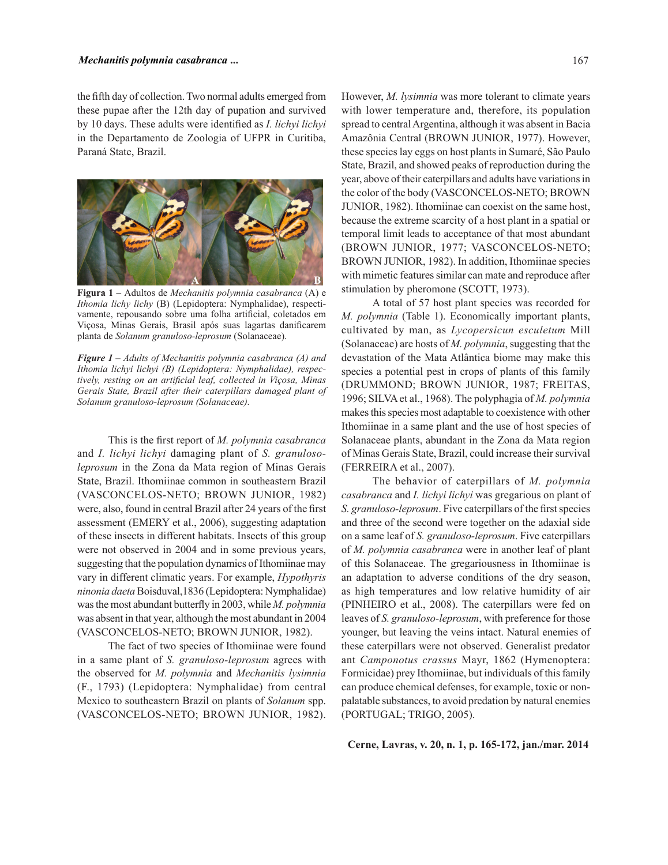the fifth day of collection. Two normal adults emerged from these pupae after the 12th day of pupation and survived by 10 days. These adults were identified as *I. lichyi lichyi*  in the Departamento de Zoologia of UFPR in Curitiba, Paraná State, Brazil.



**Figura 1 –** Adultos de *Mechanitis polymnia casabranca* (A) e *Ithomia lichy lichy* (B) (Lepidoptera: Nymphalidae), respectivamente, repousando sobre uma folha artificial, coletados em Viçosa, Minas Gerais, Brasil após suas lagartas danificarem planta de *Solanum granuloso-leprosum* (Solanaceae).

*Figure 1 – Adults of Mechanitis polymnia casabranca (A) and Ithomia lichyi lichyi (B) (Lepidoptera: Nymphalidae), respectively, resting on an artificial leaf, collected in Viçosa, Minas Gerais State, Brazil after their caterpillars damaged plant of Solanum granuloso-leprosum (Solanaceae).*

This is the first report of *M. polymnia casabranca*  and *I. lichyi lichyi* damaging plant of *S. granulosoleprosum* in the Zona da Mata region of Minas Gerais State, Brazil. Ithomiinae common in southeastern Brazil (VASCONCELOS-NETO; BROWN JUNIOR, 1982) were, also, found in central Brazil after 24 years of the first assessment (EMERY et al., 2006), suggesting adaptation of these insects in different habitats. Insects of this group were not observed in 2004 and in some previous years, suggesting that the population dynamics of Ithomiinae may vary in different climatic years. For example, *Hypothyris ninonia daeta* Boisduval,1836 (Lepidoptera: Nymphalidae) was the most abundant butterfly in 2003, while *M. polymnia* was absent in that year, although the most abundant in 2004 (VASCONCELOS-NETO; BROWN JUNIOR, 1982).

The fact of two species of Ithomiinae were found in a same plant of *S. granuloso-leprosum* agrees with the observed for *M. polymnia* and *Mechanitis lysimnia*  (F., 1793) (Lepidoptera: Nymphalidae) from central Mexico to southeastern Brazil on plants of *Solanum* spp. (VASCONCELOS-NETO; BROWN JUNIOR, 1982).

However, *M. lysimnia* was more tolerant to climate years with lower temperature and, therefore, its population spread to central Argentina, although it was absent in Bacia Amazônia Central (BROWN JUNIOR, 1977). However, these species lay eggs on host plants in Sumaré, São Paulo State, Brazil, and showed peaks of reproduction during the year, above of their caterpillars and adults have variations in the color of the body (VASCONCELOS-NETO; BROWN JUNIOR, 1982). Ithomiinae can coexist on the same host, because the extreme scarcity of a host plant in a spatial or temporal limit leads to acceptance of that most abundant (BROWN JUNIOR, 1977; VASCONCELOS-NETO; BROWN JUNIOR, 1982). In addition, Ithomiinae species with mimetic features similar can mate and reproduce after stimulation by pheromone (SCOTT, 1973).

A total of 57 host plant species was recorded for *M. polymnia* (Table 1). Economically important plants, cultivated by man, as *Lycopersicun esculetum* Mill (Solanaceae) are hosts of *M. polymnia*, suggesting that the devastation of the Mata Atlântica biome may make this species a potential pest in crops of plants of this family (DRUMMOND; BROWN JUNIOR, 1987; FREITAS, 1996; SILVA et al., 1968). The polyphagia of *M. polymnia*  makes this species most adaptable to coexistence with other Ithomiinae in a same plant and the use of host species of Solanaceae plants, abundant in the Zona da Mata region of Minas Gerais State, Brazil, could increase their survival (FERREIRA et al., 2007).

The behavior of caterpillars of *M. polymnia casabranca* and *I. lichyi lichyi* was gregarious on plant of *S. granuloso-leprosum*. Five caterpillars of the first species and three of the second were together on the adaxial side on a same leaf of *S. granuloso-leprosum*. Five caterpillars of *M. polymnia casabranca* were in another leaf of plant of this Solanaceae. The gregariousness in Ithomiinae is an adaptation to adverse conditions of the dry season, as high temperatures and low relative humidity of air (PINHEIRO et al., 2008). The caterpillars were fed on leaves of *S. granuloso-leprosum*, with preference for those younger, but leaving the veins intact. Natural enemies of these caterpillars were not observed. Generalist predator ant *Camponotus crassus* Mayr, 1862 (Hymenoptera: Formicidae) prey Ithomiinae, but individuals of this family can produce chemical defenses, for example, toxic or nonpalatable substances, to avoid predation by natural enemies (PORTUGAL; TRIGO, 2005).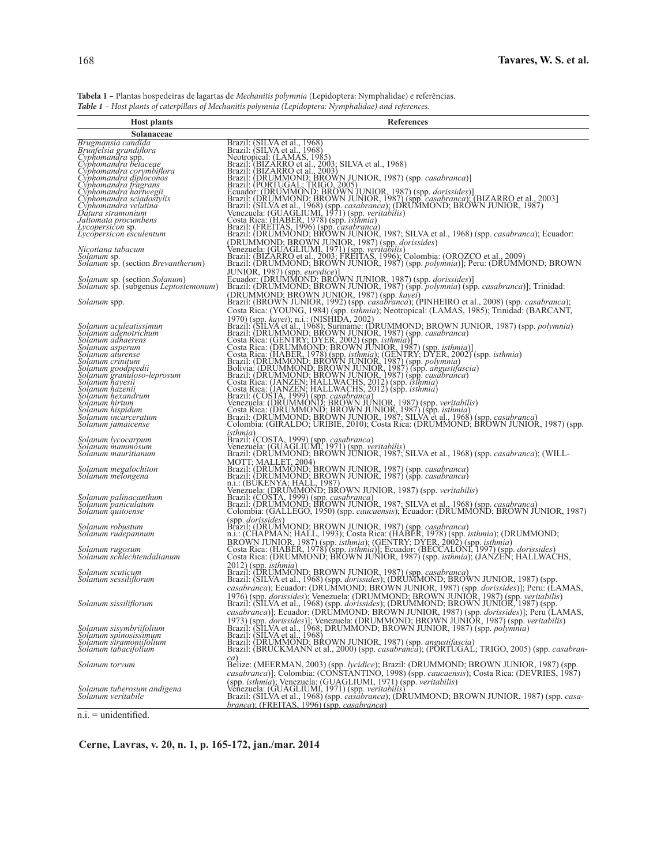**Tabela 1 –** Plantas hospedeiras de lagartas de *Mechanitis polymnia* (Lepidoptera: Nymphalidae) e referências. *Table 1 – Host plants of caterpillars of Mechanitis polymnia (Lepidoptera: Nymphalidae) and references.*

| <b>Host plants</b>                                                                                                   | References                                                                                                                                                                                                                                                                                                                |
|----------------------------------------------------------------------------------------------------------------------|---------------------------------------------------------------------------------------------------------------------------------------------------------------------------------------------------------------------------------------------------------------------------------------------------------------------------|
| Solanaceae                                                                                                           |                                                                                                                                                                                                                                                                                                                           |
| Brugmansia candida<br>Brunfelsia grandiflora<br>Cyphomandra spp.<br>Cyphomandra betaceae<br>Cyphomandra corymbiflora | Brazil: (SILVA et al., 1968)<br>Brazil: (SILVA et al., 1968)<br>Neotropical: (LAMAS, 1985)<br>Brazil: (BIZARRO et al., 2003; SILVA et al., 1968)<br>Brazil: (BIZARRO et al., 2003; SILVA et al., 1968)<br>Brazil: (DRIUMMOND; BROWN JUNI                                                                                  |
| Cyphomandra diploconos<br>Cyphomandra fragrans<br>Cyphomandra hartwegii                                              |                                                                                                                                                                                                                                                                                                                           |
| Cyphomandra sciadostylis<br>Cyphomandra velutina<br>Dátura stramonium                                                |                                                                                                                                                                                                                                                                                                                           |
| Jaltomata procumbens<br>Lycopersicon sp.<br>Lycopersicon esculentum                                                  |                                                                                                                                                                                                                                                                                                                           |
| Nicotiana tabacum<br>Solanum sp.<br>Solanum sp. (section Brevantherum)                                               | (DRUMMOND; BROWN JUNIOR, 1987) (spp. <i>dorissides</i> )<br>Venezuela: (GUAGLIUMI, 1971) (spp. <i>veritabilis</i> )<br>Brazil: (BIZARRO et al., 2003; FREITAS, 1996); Colombia: (OROZCO et al., 2009)<br>Brazil: (DRUMMOND; BROWN JUNIOR, 1987) (sp                                                                       |
| <i>Solanum</i> sp. (section <i>Solanum</i> )<br><i>Solanum</i> sp. (subgenus <i>Leptostemonum</i> )                  | JUNIOR, 1987) (spp. eurydice)]<br>Ecuador: (DRUMMOND: BROWN JUNIOR, 1987) (spp. <i>dorissides</i> )]<br>Brazil: (DRUMMOND; BROWN JUNIOR, 1987) (spp. <i>polymnia</i> ) (spp. <i>casabranca</i> )]; Trinidad:                                                                                                              |
| Solanum spp.                                                                                                         | (DRUMMOND: BROWN JUNIOR, 1987) (spp. <i>kayei</i> )<br>Brazil: (BROWN JUNIOR, 1992) (spp. <i>casabranca</i> ); (PINHEIRO et al., 2008) (spp. <i>casabranca</i> );<br>Costa Rica: (YOUNG, 1984) (spp. isthmia); Neotropical: (LAMAS, 1985); Trinidad: (BARCANT,                                                            |
| Solanum aculeatissimun<br>Solanum adenotrichum                                                                       |                                                                                                                                                                                                                                                                                                                           |
| Solanum adhaerens<br>Solanum asperum<br>Solanum aturense<br>Solanum crinițum                                         |                                                                                                                                                                                                                                                                                                                           |
| Solanum goodpeedii<br>Solanum granuloso-leprosum<br>Solanum hayesii                                                  |                                                                                                                                                                                                                                                                                                                           |
| Solanum házenii<br>Solanum hexandrum<br>Solanum hirtum                                                               |                                                                                                                                                                                                                                                                                                                           |
| Solanum hispidum<br>Solanum incarceratum<br>Solanum jamaicense                                                       | Costa Rica: (YOUNG, 1984) (spp. <i>isthmia</i> ); Neotropical: (LAMAS, 1985); Trinidad: (BARCANT, 1970) (spp. <i>kayei</i> ); n.i.: (NISHIDA, 2002)<br>Brazil: (SILVA et al., 1968); Suriname: (DRUMMOND; BROWN JUNIOR, 1987) (spp. <i>polymnia</i>                                                                       |
| Solanum lycocarpum<br>Solanum mammosum<br>Solanum mauritianum                                                        | isthmia)<br>Brazil: (COSTA, 1999) (spp. <i>casabranca</i> )<br>Venezuela: (GUAGLIUMI, 1971) (spp. <i>veritabilis</i> )<br>Brazil: (DRUMMOND; BROWN JUNIOR, 1987; SILVA et al., 1968) (spp. <i>casabranca</i> ); (WILL-                                                                                                    |
| Solanum megalochiton<br>Solanum melongena                                                                            |                                                                                                                                                                                                                                                                                                                           |
| Solanum palinacanthum<br>Solanum paniculatum<br>Solanum`quitoense                                                    | MOTT: MALLET, 2004)<br>Brazil: (DRUMMOND: BROWN JUNIOR, 1987) (spp. casabranca)<br>Brazil: (DRUMMOND: BROWN JUNIOR, 1987) (spp. casabranca)<br>Brazil: (CRUMMOND: BROWN JUNIOR, 1987) (spp. casabranca)<br>1.1: (BUKENYA: HALL, 1987)<br>                                                                                 |
| Solanum robustum<br>Solanum rudepannum                                                                               | (spp. <i>dorissides</i> )<br>Brazil: (DRUMMOND; BROWN JUNIOR, 1987) (spp. <i>casabranca</i> )<br>n.i.: (CHAPMAN; HALL, 1993); Costa Rica: (HABER, 1978) (spp. <i>isthmia</i> ); (DRUMMOND;                                                                                                                                |
| Solanum rugosum<br>Solanum schlechtendalianum                                                                        | BROWN JUNIOR, 1987) (spp. <i>isthmia</i> ); (GENTRY; DYER, 2002) (spp. <i>isthmia</i> )<br>Costa Rica: (HABER, 1978) (spp. <i>isthmia</i> )]; Ecuador: (BECCALONI, 1997) (spp. <i>dorissides</i> )<br>Costa Rica: (DRUMMOND; BROWN JUNIOR, 1987) (spp. <i>isth</i>                                                        |
| Solanum scutiçum<br>Solanum sessiliflorum                                                                            | 2012) (spp. <i>isthmia</i> )<br>Brazil: (DRUMMOND: BROWN JUNIOR, 1987) (spp. <i>casabranca</i> )<br>Brazil: (SILVA et al., 1968) (spp. <i>doris a no in NUNIOR, 1987</i> ) (spp. <i>dorissides</i> )]; Peru: (f<br><i>casabranca</i> ); Ecuador: (DRUMMOND; BROWN JUNIOR, 1987) (spp. <i>dorissides</i> )]; Peru: (LAMAS, |
| Solanum sissiliflorum                                                                                                | 1976) (spp. dorissides); Venezuela: (DRUMMOND; BROWN JUNIOR, 1987) (spp. veritabilis)<br>Brazil: (SILVA et al., 1968) (spp <i>. dorissides)</i> ; (DRUMMOND; BROWN JUNIOR, 1987) (spp.<br>casabranca)]; Ecuador: (DRUMMOND; BROWN JUNIOR, 1987) (spp. dorissides)]; Peru (LAMAS,                                          |
| Solanum sisymbriifolium<br>Solanum spinosissimum<br>Solanum stramoniifolium<br>Solanum tabacifolium                  | 1973) (spp. dorissides)]; Venezuela: (DRUMMOND; BROWN JUNIOR, 1987) (spp. veritabilis)<br>Brazil: (SILVA et al., 1968; DRUMMOND; BROWN JUNIOR, 1987) (spp. veritabilis)<br>Brazil: (SILVA et al., 1968; DRUMMOND; BROWN JUNIOR, 1987                                                                                      |
| Solanum torvum                                                                                                       | ca)<br>Belize: (MEERMAN, 2003) (spp. lycidice); Brazil: (DRUMMOND; BROWN JUNIOR, 1987) (spp.<br>casabranca)]; Colombia: (CONSTANTINÓ, 1998) (spp. caucaensis); Costa Rica: (DEVRIES, 1987)                                                                                                                                |
| Solanum tuberosum andigena<br>Solanum veritabile                                                                     | (spp. <i>isthmia</i> ); Venezuela: (GUAGLIUMI, 1971) (spp. <i>veritabilis</i> )<br>Venezuela: (GUAGLIUMI, 1971) (spp. <i>veritabilis</i> )<br>Brazil: (SILVA et al., 1968) (spp. <i>casabranca</i> ); (DRUMMOND; BROWN JUNIOR, 1987) (spp. <i>casa</i> -<br><i>branca</i> ); (FREITAS, 1996) (spp. <i>casabranca</i> )    |
| $n.i. =$ unidentified.                                                                                               |                                                                                                                                                                                                                                                                                                                           |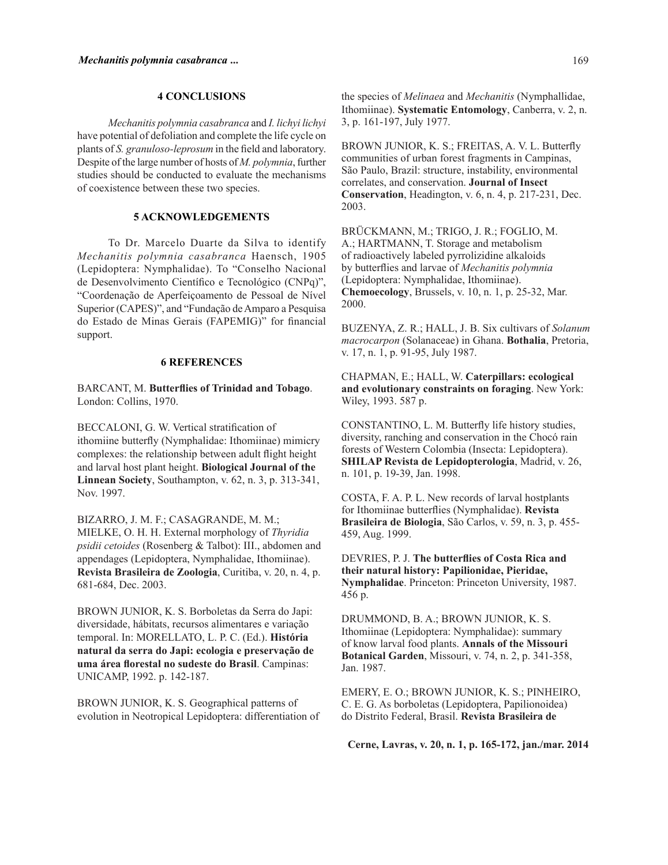### **4 CONCLUSIONS**

*Mechanitis polymnia casabranca* and *I. lichyi lichyi* have potential of defoliation and complete the life cycle on plants of *S. granuloso-leprosum* in the field and laboratory. Despite of the large number of hosts of *M. polymnia*, further studies should be conducted to evaluate the mechanisms of coexistence between these two species.

# **5 ACKNOWLEDGEMENTS**

To Dr. Marcelo Duarte da Silva to identify *Mechanitis polymnia casabranca* Haensch, 1905 (Lepidoptera: Nymphalidae). To "Conselho Nacional de Desenvolvimento Científico e Tecnológico (CNPq)", "Coordenação de Aperfeiçoamento de Pessoal de Nível Superior (CAPES)", and "Fundação de Amparo a Pesquisa do Estado de Minas Gerais (FAPEMIG)" for financial support.

## **6 REFERENCES**

BARCANT, M. **Butterflies of Trinidad and Tobago**. London: Collins, 1970.

BECCALONI, G. W. Vertical stratification of ithomiine butterfly (Nymphalidae: Ithomiinae) mimicry complexes: the relationship between adult flight height and larval host plant height. **Biological Journal of the Linnean Society**, Southampton, v. 62, n. 3, p. 313-341, Nov. 1997.

BIZARRO, J. M. F.; CASAGRANDE, M. M.; MIELKE, O. H. H. External morphology of *Thyridia psidii cetoides* (Rosenberg & Talbot): III., abdomen and appendages (Lepidoptera, Nymphalidae, Ithomiinae). **Revista Brasileira de Zoologia**, Curitiba, v. 20, n. 4, p. 681-684, Dec. 2003.

BROWN JUNIOR, K. S. Borboletas da Serra do Japi: diversidade, hábitats, recursos alimentares e variação temporal. In: MORELLATO, L. P. C. (Ed.). **História natural da serra do Japi: ecologia e preservação de uma área florestal no sudeste do Brasil**. Campinas: UNICAMP, 1992. p. 142-187.

BROWN JUNIOR, K. S. Geographical patterns of evolution in Neotropical Lepidoptera: differentiation of the species of *Melinaea* and *Mechanitis* (Nymphallidae, Ithomiinae). **Systematic Entomology**, Canberra, v. 2, n. 3, p. 161-197, July 1977.

BROWN JUNIOR, K. S.; FREITAS, A. V. L. Butterfly communities of urban forest fragments in Campinas, São Paulo, Brazil: structure, instability, environmental correlates, and conservation. **Journal of Insect Conservation**, Headington, v. 6, n. 4, p. 217-231, Dec. 2003.

BRÜCKMANN, M.; TRIGO, J. R.; FOGLIO, M. A.; HARTMANN, T. Storage and metabolism of radioactively labeled pyrrolizidine alkaloids by butterflies and larvae of *Mechanitis polymnia* (Lepidoptera: Nymphalidae, Ithomiinae). **Chemoecology**, Brussels, v. 10, n. 1, p. 25-32, Mar. 2000.

BUZENYA, Z. R.; HALL, J. B. Six cultivars of *Solanum macrocarpon* (Solanaceae) in Ghana. **Bothalia**, Pretoria, v. 17, n. 1, p. 91-95, July 1987.

CHAPMAN, E.; HALL, W. **Caterpillars: ecological and evolutionary constraints on foraging**. New York: Wiley, 1993. 587 p.

CONSTANTINO, L. M. Butterfly life history studies, diversity, ranching and conservation in the Chocó rain forests of Western Colombia (Insecta: Lepidoptera). **SHILAP Revista de Lepidopterologia**, Madrid, v. 26, n. 101, p. 19-39, Jan. 1998.

COSTA, F. A. P. L. New records of larval hostplants for Ithomiinae butterflies (Nymphalidae). **Revista Brasileira de Biologia**, São Carlos, v. 59, n. 3, p. 455- 459, Aug. 1999.

DEVRIES, P. J. **The butterflies of Costa Rica and their natural history: Papilionidae, Pieridae, Nymphalidae**. Princeton: Princeton University, 1987. 456 p.

DRUMMOND, B. A.; BROWN JUNIOR, K. S. Ithomiinae (Lepidoptera: Nymphalidae): summary of know larval food plants. **Annals of the Missouri Botanical Garden**, Missouri, v. 74, n. 2, p. 341-358, Jan. 1987.

EMERY, E. O.; BROWN JUNIOR, K. S.; PINHEIRO, C. E. G. As borboletas (Lepidoptera, Papilionoidea) do Distrito Federal, Brasil. **Revista Brasileira de**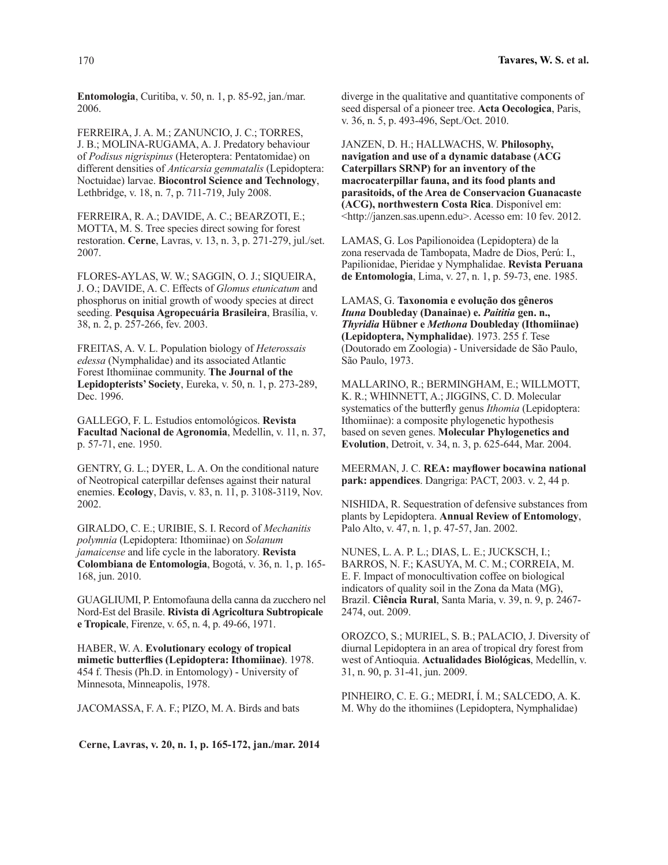**Entomologia**, Curitiba, v. 50, n. 1, p. 85-92, jan./mar. 2006.

FERREIRA, J. A. M.; ZANUNCIO, J. C.; TORRES, J. B.; MOLINA-RUGAMA, A. J. Predatory behaviour of *Podisus nigrispinus* (Heteroptera: Pentatomidae) on different densities of *Anticarsia gemmatalis* (Lepidoptera: Noctuidae) larvae. **Biocontrol Science and Technology**, Lethbridge, v. 18, n. 7, p. 711-719, July 2008.

FERREIRA, R. A.; DAVIDE, A. C.; BEARZOTI, E.; MOTTA, M. S. Tree species direct sowing for forest restoration. **Cerne**, Lavras, v. 13, n. 3, p. 271-279, jul./set. 2007.

FLORES-AYLAS, W. W.; SAGGIN, O. J.; SIQUEIRA, J. O.; DAVIDE, A. C. Effects of *Glomus etunicatum* and phosphorus on initial growth of woody species at direct seeding. **Pesquisa Agropecuária Brasileira**, Brasília, v. 38, n. 2, p. 257-266, fev. 2003.

FREITAS, A. V. L. Population biology of *Heterossais edessa* (Nymphalidae) and its associated Atlantic Forest Ithomiinae community. **The Journal of the Lepidopterists' Society**, Eureka, v. 50, n. 1, p. 273-289, Dec. 1996.

GALLEGO, F. L. Estudios entomológicos. **Revista Facultad Nacional de Agronomia**, Medellin, v. 11, n. 37, p. 57-71, ene. 1950.

GENTRY, G. L.; DYER, L. A. On the conditional nature of Neotropical caterpillar defenses against their natural enemies. **Ecology**, Davis, v. 83, n. 11, p. 3108-3119, Nov. 2002.

GIRALDO, C. E.; URIBIE, S. I. Record of *Mechanitis polymnia* (Lepidoptera: Ithomiinae) on *Solanum jamaicense* and life cycle in the laboratory. **Revista Colombiana de Entomologia**, Bogotá, v. 36, n. 1, p. 165- 168, jun. 2010.

GUAGLIUMI, P. Entomofauna della canna da zucchero nel Nord-Est del Brasile. **Rivista di Agricoltura Subtropicale e Tropicale**, Firenze, v. 65, n. 4, p. 49-66, 1971.

HABER, W. A. **Evolutionary ecology of tropical mimetic butterflies (Lepidoptera: Ithomiinae)**. 1978. 454 f. Thesis (Ph.D. in Entomology) - University of Minnesota, Minneapolis, 1978.

JACOMASSA, F. A. F.; PIZO, M. A. Birds and bats

**Cerne, Lavras, v. 20, n. 1, p. 165-172, jan./mar. 2014**

diverge in the qualitative and quantitative components of seed dispersal of a pioneer tree. **Acta Oecologica**, Paris, v. 36, n. 5, p. 493-496, Sept./Oct. 2010.

JANZEN, D. H.; HALLWACHS, W. **Philosophy, navigation and use of a dynamic database (ACG Caterpillars SRNP) for an inventory of the macrocaterpillar fauna, and its food plants and parasitoids, of the Area de Conservacion Guanacaste (ACG), northwestern Costa Rica**. Disponível em: <http://janzen.sas.upenn.edu>. Acesso em: 10 fev. 2012.

LAMAS, G. Los Papilionoidea (Lepidoptera) de la zona reservada de Tambopata, Madre de Dios, Perú: I., Papilionidae, Pieridae y Nymphalidae. **Revista Peruana de Entomologia**, Lima, v. 27, n. 1, p. 59-73, ene. 1985.

LAMAS, G. **Taxonomia e evolução dos gêneros**  *Ituna* **Doubleday (Danainae) e.** *Paititia* **gen. n.,**  *Thyridia* **Hübner e** *Methona* **Doubleday (Ithomiinae) (Lepidoptera, Nymphalidae)**. 1973. 255 f. Tese (Doutorado em Zoologia) - Universidade de São Paulo, São Paulo, 1973.

MALLARINO, R.; BERMINGHAM, E.; WILLMOTT, K. R.; WHINNETT, A.; JIGGINS, C. D. Molecular systematics of the butterfly genus *Ithomia* (Lepidoptera: Ithomiinae): a composite phylogenetic hypothesis based on seven genes. **Molecular Phylogenetics and Evolution**, Detroit, v. 34, n. 3, p. 625-644, Mar. 2004.

MEERMAN, J. C. **REA: mayflower bocawina national park: appendices**. Dangriga: PACT, 2003. v. 2, 44 p.

NISHIDA, R. Sequestration of defensive substances from plants by Lepidoptera. **Annual Review of Entomology**, Palo Alto, v. 47, n. 1, p. 47-57, Jan. 2002.

NUNES, L. A. P. L.; DIAS, L. E.; JUCKSCH, I.; BARROS, N. F.; KASUYA, M. C. M.; CORREIA, M. E. F. Impact of monocultivation coffee on biological indicators of quality soil in the Zona da Mata (MG), Brazil. **Ciência Rural**, Santa Maria, v. 39, n. 9, p. 2467- 2474, out. 2009.

OROZCO, S.; MURIEL, S. B.; PALACIO, J. Diversity of diurnal Lepidoptera in an area of tropical dry forest from west of Antioquia. **Actualidades Biológicas**, Medellín, v. 31, n. 90, p. 31-41, jun. 2009.

PINHEIRO, C. E. G.; MEDRI, Í. M.; SALCEDO, A. K. M. Why do the ithomiines (Lepidoptera, Nymphalidae)